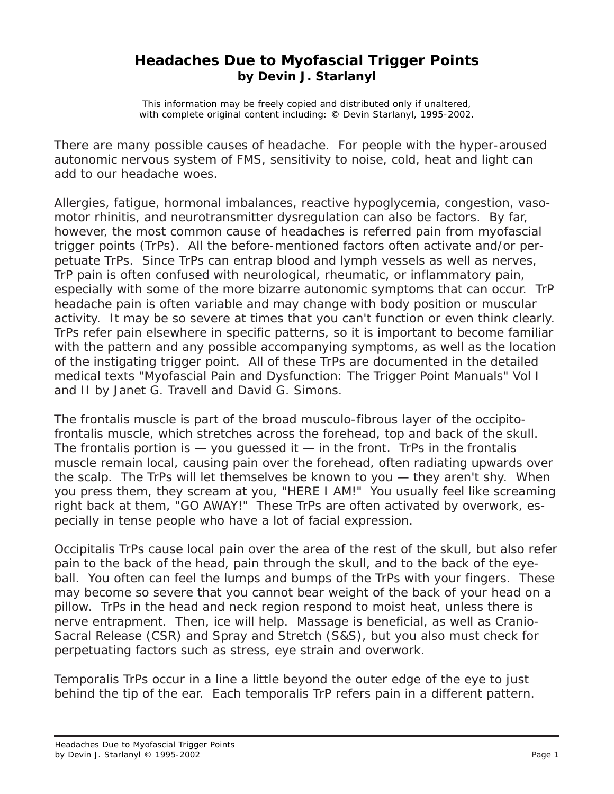## **Headaches Due to Myofascial Trigger Points by Devin J. Starlanyl**

This information may be freely copied and distributed only if unaltered, with complete original content including: © Devin Starlanyl, 1995-2002.

There are many possible causes of headache. For people with the hyper-aroused autonomic nervous system of FMS, sensitivity to noise, cold, heat and light can add to our headache woes.

Allergies, fatigue, hormonal imbalances, reactive hypoglycemia, congestion, vasomotor rhinitis, and neurotransmitter dysregulation can also be factors. By far, however, the most common cause of headaches is referred pain from myofascial trigger points (TrPs). All the before-mentioned factors often activate and/or perpetuate TrPs. Since TrPs can entrap blood and lymph vessels as well as nerves, TrP pain is often confused with neurological, rheumatic, or inflammatory pain, especially with some of the more bizarre autonomic symptoms that can occur. TrP headache pain is often variable and may change with body position or muscular activity. It may be so severe at times that you can't function or even think clearly. TrPs refer pain elsewhere in specific patterns, so it is important to become familiar with the pattern and any possible accompanying symptoms, as well as the location of the instigating trigger point. All of these TrPs are documented in the detailed medical texts "Myofascial Pain and Dysfunction: The Trigger Point Manuals" Vol I and II by Janet G. Travell and David G. Simons.

The frontalis muscle is part of the broad musculo-fibrous layer of the occipitofrontalis muscle, which stretches across the forehead, top and back of the skull. The frontalis portion is  $-$  you guessed it  $-$  in the front. TrPs in the frontalis muscle remain local, causing pain over the forehead, often radiating upwards over the scalp. The TrPs will let themselves be known to you — they aren't shy. When you press them, they scream at you, "HERE I AM!" You usually feel like screaming right back at them, "GO AWAY!" These TrPs are often activated by overwork, especially in tense people who have a lot of facial expression.

Occipitalis TrPs cause local pain over the area of the rest of the skull, but also refer pain to the back of the head, pain through the skull, and to the back of the eyeball. You often can feel the lumps and bumps of the TrPs with your fingers. These may become so severe that you cannot bear weight of the back of your head on a pillow. TrPs in the head and neck region respond to moist heat, unless there is nerve entrapment. Then, ice will help. Massage is beneficial, as well as Cranio-Sacral Release (CSR) and Spray and Stretch (S&S), but you also must check for perpetuating factors such as stress, eye strain and overwork.

Temporalis TrPs occur in a line a little beyond the outer edge of the eye to just behind the tip of the ear. Each temporalis TrP refers pain in a different pattern.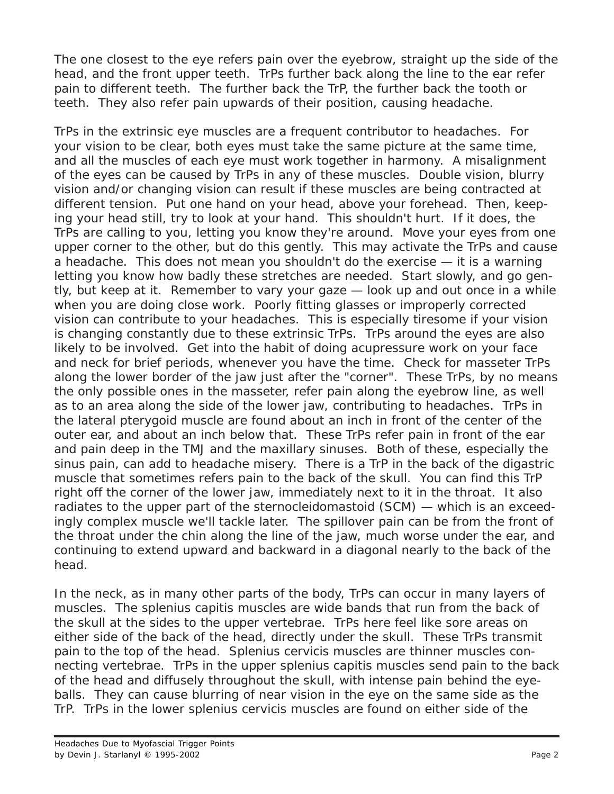The one closest to the eye refers pain over the eyebrow, straight up the side of the head, and the front upper teeth. TrPs further back along the line to the ear refer pain to different teeth. The further back the TrP, the further back the tooth or teeth. They also refer pain upwards of their position, causing headache.

TrPs in the extrinsic eye muscles are a frequent contributor to headaches. For your vision to be clear, both eyes must take the same picture at the same time, and all the muscles of each eye must work together in harmony. A misalignment of the eyes can be caused by TrPs in any of these muscles. Double vision, blurry vision and/or changing vision can result if these muscles are being contracted at different tension. Put one hand on your head, above your forehead. Then, keeping your head still, try to look at your hand. This shouldn't hurt. If it does, the TrPs are calling to you, letting you know they're around. Move your eyes from one upper corner to the other, but do this gently. This may activate the TrPs and cause a headache. This does not mean you shouldn't do the exercise — it is a warning letting you know how badly these stretches are needed. Start slowly, and go gently, but keep at it. Remember to vary your gaze — look up and out once in a while when you are doing close work. Poorly fitting glasses or improperly corrected vision can contribute to your headaches. This is especially tiresome if your vision is changing constantly due to these extrinsic TrPs. TrPs around the eyes are also likely to be involved. Get into the habit of doing acupressure work on your face and neck for brief periods, whenever you have the time. Check for masseter TrPs along the lower border of the jaw just after the "corner". These TrPs, by no means the only possible ones in the masseter, refer pain along the eyebrow line, as well as to an area along the side of the lower jaw, contributing to headaches. TrPs in the lateral pterygoid muscle are found about an inch in front of the center of the outer ear, and about an inch below that. These TrPs refer pain in front of the ear and pain deep in the TMJ and the maxillary sinuses. Both of these, especially the sinus pain, can add to headache misery. There is a TrP in the back of the digastric muscle that sometimes refers pain to the back of the skull. You can find this TrP right off the corner of the lower jaw, immediately next to it in the throat. It also radiates to the upper part of the sternocleidomastoid (SCM) — which is an exceedingly complex muscle we'll tackle later. The spillover pain can be from the front of the throat under the chin along the line of the jaw, much worse under the ear, and continuing to extend upward and backward in a diagonal nearly to the back of the head.

In the neck, as in many other parts of the body, TrPs can occur in many layers of muscles. The splenius capitis muscles are wide bands that run from the back of the skull at the sides to the upper vertebrae. TrPs here feel like sore areas on either side of the back of the head, directly under the skull. These TrPs transmit pain to the top of the head. Splenius cervicis muscles are thinner muscles connecting vertebrae. TrPs in the upper splenius capitis muscles send pain to the back of the head and diffusely throughout the skull, with intense pain behind the eyeballs. They can cause blurring of near vision in the eye on the same side as the TrP. TrPs in the lower splenius cervicis muscles are found on either side of the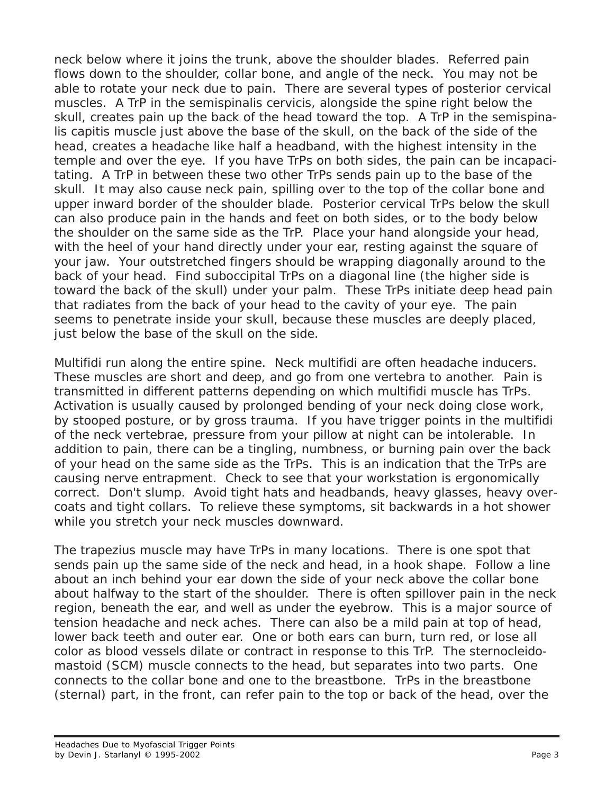neck below where it joins the trunk, above the shoulder blades. Referred pain flows down to the shoulder, collar bone, and angle of the neck. You may not be able to rotate your neck due to pain. There are several types of posterior cervical muscles. A TrP in the semispinalis cervicis, alongside the spine right below the skull, creates pain up the back of the head toward the top. A TrP in the semispinalis capitis muscle just above the base of the skull, on the back of the side of the head, creates a headache like half a headband, with the highest intensity in the temple and over the eye. If you have TrPs on both sides, the pain can be incapacitating. A TrP in between these two other TrPs sends pain up to the base of the skull. It may also cause neck pain, spilling over to the top of the collar bone and upper inward border of the shoulder blade. Posterior cervical TrPs below the skull can also produce pain in the hands and feet on both sides, or to the body below the shoulder on the same side as the TrP. Place your hand alongside your head, with the heel of your hand directly under your ear, resting against the square of your jaw. Your outstretched fingers should be wrapping diagonally around to the back of your head. Find suboccipital TrPs on a diagonal line (the higher side is toward the back of the skull) under your palm. These TrPs initiate deep head pain that radiates from the back of your head to the cavity of your eye. The pain seems to penetrate inside your skull, because these muscles are deeply placed, just below the base of the skull on the side.

Multifidi run along the entire spine. Neck multifidi are often headache inducers. These muscles are short and deep, and go from one vertebra to another. Pain is transmitted in different patterns depending on which multifidi muscle has TrPs. Activation is usually caused by prolonged bending of your neck doing close work, by stooped posture, or by gross trauma. If you have trigger points in the multifidi of the neck vertebrae, pressure from your pillow at night can be intolerable. In addition to pain, there can be a tingling, numbness, or burning pain over the back of your head on the same side as the TrPs. This is an indication that the TrPs are causing nerve entrapment. Check to see that your workstation is ergonomically correct. Don't slump. Avoid tight hats and headbands, heavy glasses, heavy overcoats and tight collars. To relieve these symptoms, sit backwards in a hot shower while you stretch your neck muscles downward.

The trapezius muscle may have TrPs in many locations. There is one spot that sends pain up the same side of the neck and head, in a hook shape. Follow a line about an inch behind your ear down the side of your neck above the collar bone about halfway to the start of the shoulder. There is often spillover pain in the neck region, beneath the ear, and well as under the eyebrow. This is a major source of tension headache and neck aches. There can also be a mild pain at top of head, lower back teeth and outer ear. One or both ears can burn, turn red, or lose all color as blood vessels dilate or contract in response to this TrP. The sternocleidomastoid (SCM) muscle connects to the head, but separates into two parts. One connects to the collar bone and one to the breastbone. TrPs in the breastbone (sternal) part, in the front, can refer pain to the top or back of the head, over the